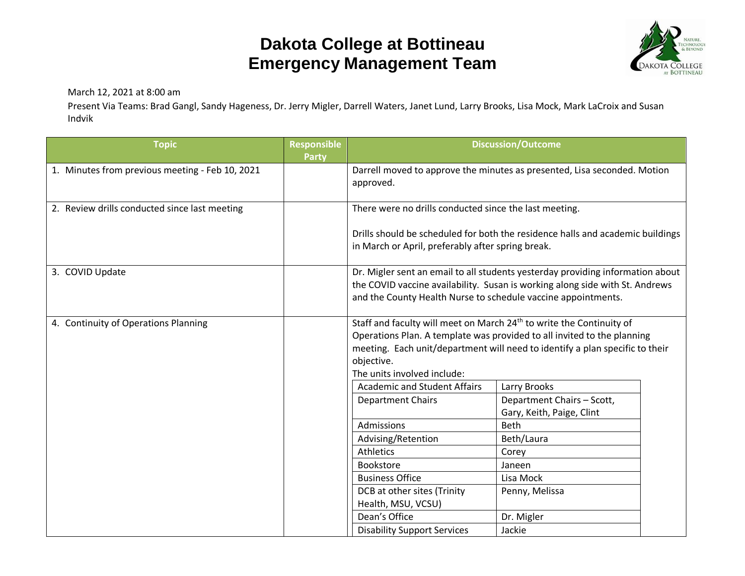## **Dakota College at Bottineau Emergency Management Team**



March 12, 2021 at 8:00 am

Present Via Teams: Brad Gangl, Sandy Hageness, Dr. Jerry Migler, Darrell Waters, Janet Lund, Larry Brooks, Lisa Mock, Mark LaCroix and Susan Indvik

| <b>Topic</b>                                    | <b>Responsible</b><br><b>Party</b> | <b>Discussion/Outcome</b>                                                                                                                                                                                                                                                                |                                                         |  |  |
|-------------------------------------------------|------------------------------------|------------------------------------------------------------------------------------------------------------------------------------------------------------------------------------------------------------------------------------------------------------------------------------------|---------------------------------------------------------|--|--|
| 1. Minutes from previous meeting - Feb 10, 2021 |                                    | Darrell moved to approve the minutes as presented, Lisa seconded. Motion<br>approved.                                                                                                                                                                                                    |                                                         |  |  |
| 2. Review drills conducted since last meeting   |                                    | There were no drills conducted since the last meeting.                                                                                                                                                                                                                                   |                                                         |  |  |
|                                                 |                                    | Drills should be scheduled for both the residence halls and academic buildings<br>in March or April, preferably after spring break.                                                                                                                                                      |                                                         |  |  |
| 3. COVID Update                                 |                                    | Dr. Migler sent an email to all students yesterday providing information about<br>the COVID vaccine availability. Susan is working along side with St. Andrews<br>and the County Health Nurse to schedule vaccine appointments.                                                          |                                                         |  |  |
| 4. Continuity of Operations Planning            |                                    | Staff and faculty will meet on March 24 <sup>th</sup> to write the Continuity of<br>Operations Plan. A template was provided to all invited to the planning<br>meeting. Each unit/department will need to identify a plan specific to their<br>objective.<br>The units involved include: |                                                         |  |  |
|                                                 |                                    | <b>Academic and Student Affairs</b>                                                                                                                                                                                                                                                      | Larry Brooks                                            |  |  |
|                                                 |                                    | <b>Department Chairs</b>                                                                                                                                                                                                                                                                 | Department Chairs - Scott,<br>Gary, Keith, Paige, Clint |  |  |
|                                                 |                                    | Admissions                                                                                                                                                                                                                                                                               | <b>Beth</b>                                             |  |  |
|                                                 |                                    | Advising/Retention                                                                                                                                                                                                                                                                       | Beth/Laura                                              |  |  |
|                                                 |                                    | Athletics                                                                                                                                                                                                                                                                                | Corey                                                   |  |  |
|                                                 |                                    | Bookstore                                                                                                                                                                                                                                                                                | Janeen                                                  |  |  |
|                                                 |                                    | <b>Business Office</b>                                                                                                                                                                                                                                                                   | Lisa Mock                                               |  |  |
|                                                 |                                    | DCB at other sites (Trinity                                                                                                                                                                                                                                                              | Penny, Melissa                                          |  |  |
|                                                 |                                    | Health, MSU, VCSU)                                                                                                                                                                                                                                                                       |                                                         |  |  |
|                                                 |                                    | Dean's Office                                                                                                                                                                                                                                                                            | Dr. Migler                                              |  |  |
|                                                 |                                    | <b>Disability Support Services</b>                                                                                                                                                                                                                                                       | Jackie                                                  |  |  |